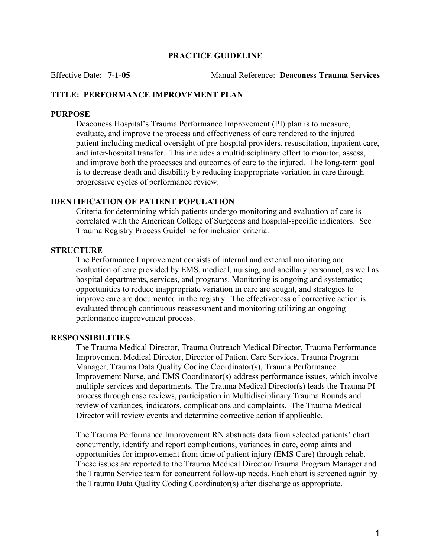### PRACTICE GUIDELINE

Effective Date: 7-1-05 Manual Reference: Deaconess Trauma Services

### TITLE: PERFORMANCE IMPROVEMENT PLAN

### **PURPOSE**

Deaconess Hospital's Trauma Performance Improvement (PI) plan is to measure, evaluate, and improve the process and effectiveness of care rendered to the injured patient including medical oversight of pre-hospital providers, resuscitation, inpatient care, and inter-hospital transfer. This includes a multidisciplinary effort to monitor, assess, and improve both the processes and outcomes of care to the injured. The long-term goal is to decrease death and disability by reducing inappropriate variation in care through progressive cycles of performance review.

### IDENTIFICATION OF PATIENT POPULATION

Criteria for determining which patients undergo monitoring and evaluation of care is correlated with the American College of Surgeons and hospital-specific indicators. See Trauma Registry Process Guideline for inclusion criteria.

### **STRUCTURE**

The Performance Improvement consists of internal and external monitoring and evaluation of care provided by EMS, medical, nursing, and ancillary personnel, as well as hospital departments, services, and programs. Monitoring is ongoing and systematic; opportunities to reduce inappropriate variation in care are sought, and strategies to improve care are documented in the registry. The effectiveness of corrective action is evaluated through continuous reassessment and monitoring utilizing an ongoing performance improvement process.

### RESPONSIBILITIES

The Trauma Medical Director, Trauma Outreach Medical Director, Trauma Performance Improvement Medical Director, Director of Patient Care Services, Trauma Program Manager, Trauma Data Quality Coding Coordinator(s), Trauma Performance Improvement Nurse, and EMS Coordinator(s) address performance issues, which involve multiple services and departments. The Trauma Medical Director(s) leads the Trauma PI process through case reviews, participation in Multidisciplinary Trauma Rounds and review of variances, indicators, complications and complaints. The Trauma Medical Director will review events and determine corrective action if applicable.

The Trauma Performance Improvement RN abstracts data from selected patients' chart concurrently, identify and report complications, variances in care, complaints and opportunities for improvement from time of patient injury (EMS Care) through rehab. These issues are reported to the Trauma Medical Director/Trauma Program Manager and the Trauma Service team for concurrent follow-up needs. Each chart is screened again by the Trauma Data Quality Coding Coordinator(s) after discharge as appropriate.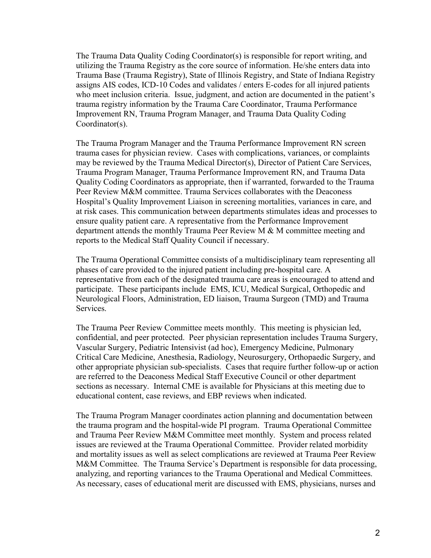The Trauma Data Quality Coding Coordinator(s) is responsible for report writing, and utilizing the Trauma Registry as the core source of information. He/she enters data into Trauma Base (Trauma Registry), State of Illinois Registry, and State of Indiana Registry assigns AIS codes, ICD-10 Codes and validates / enters E-codes for all injured patients who meet inclusion criteria. Issue, judgment, and action are documented in the patient's trauma registry information by the Trauma Care Coordinator, Trauma Performance Improvement RN, Trauma Program Manager, and Trauma Data Quality Coding Coordinator(s).

The Trauma Program Manager and the Trauma Performance Improvement RN screen trauma cases for physician review. Cases with complications, variances, or complaints may be reviewed by the Trauma Medical Director(s), Director of Patient Care Services, Trauma Program Manager, Trauma Performance Improvement RN, and Trauma Data Quality Coding Coordinators as appropriate, then if warranted, forwarded to the Trauma Peer Review M&M committee. Trauma Services collaborates with the Deaconess Hospital's Quality Improvement Liaison in screening mortalities, variances in care, and at risk cases. This communication between departments stimulates ideas and processes to ensure quality patient care. A representative from the Performance Improvement department attends the monthly Trauma Peer Review M & M committee meeting and reports to the Medical Staff Quality Council if necessary.

The Trauma Operational Committee consists of a multidisciplinary team representing all phases of care provided to the injured patient including pre-hospital care. A representative from each of the designated trauma care areas is encouraged to attend and participate. These participants include EMS, ICU, Medical Surgical, Orthopedic and Neurological Floors, Administration, ED liaison, Trauma Surgeon (TMD) and Trauma Services.

The Trauma Peer Review Committee meets monthly. This meeting is physician led, confidential, and peer protected. Peer physician representation includes Trauma Surgery, Vascular Surgery, Pediatric Intensivist (ad hoc), Emergency Medicine, Pulmonary Critical Care Medicine, Anesthesia, Radiology, Neurosurgery, Orthopaedic Surgery, and other appropriate physician sub-specialists. Cases that require further follow-up or action are referred to the Deaconess Medical Staff Executive Council or other department sections as necessary. Internal CME is available for Physicians at this meeting due to educational content, case reviews, and EBP reviews when indicated.

The Trauma Program Manager coordinates action planning and documentation between the trauma program and the hospital-wide PI program. Trauma Operational Committee and Trauma Peer Review M&M Committee meet monthly. System and process related issues are reviewed at the Trauma Operational Committee. Provider related morbidity and mortality issues as well as select complications are reviewed at Trauma Peer Review M&M Committee. The Trauma Service's Department is responsible for data processing, analyzing, and reporting variances to the Trauma Operational and Medical Committees. As necessary, cases of educational merit are discussed with EMS, physicians, nurses and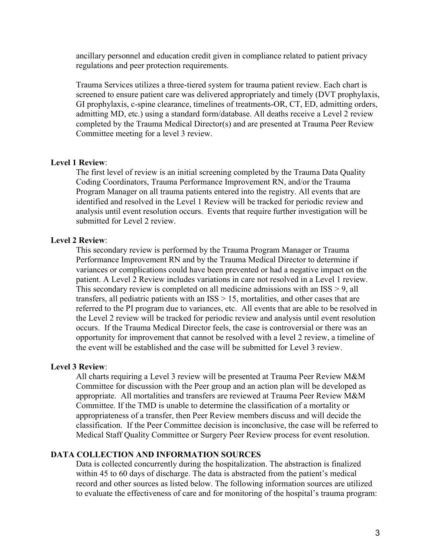ancillary personnel and education credit given in compliance related to patient privacy regulations and peer protection requirements.

Trauma Services utilizes a three-tiered system for trauma patient review. Each chart is screened to ensure patient care was delivered appropriately and timely (DVT prophylaxis, GI prophylaxis, c-spine clearance, timelines of treatments-OR, CT, ED, admitting orders, admitting MD, etc.) using a standard form/database. All deaths receive a Level 2 review completed by the Trauma Medical Director(s) and are presented at Trauma Peer Review Committee meeting for a level 3 review.

### Level 1 Review:

The first level of review is an initial screening completed by the Trauma Data Quality Coding Coordinators, Trauma Performance Improvement RN, and/or the Trauma Program Manager on all trauma patients entered into the registry. All events that are identified and resolved in the Level 1 Review will be tracked for periodic review and analysis until event resolution occurs. Events that require further investigation will be submitted for Level 2 review.

### Level 2 Review:

This secondary review is performed by the Trauma Program Manager or Trauma Performance Improvement RN and by the Trauma Medical Director to determine if variances or complications could have been prevented or had a negative impact on the patient. A Level 2 Review includes variations in care not resolved in a Level 1 review. This secondary review is completed on all medicine admissions with an ISS > 9, all transfers, all pediatric patients with an ISS > 15, mortalities, and other cases that are referred to the PI program due to variances, etc. All events that are able to be resolved in the Level 2 review will be tracked for periodic review and analysis until event resolution occurs. If the Trauma Medical Director feels, the case is controversial or there was an opportunity for improvement that cannot be resolved with a level 2 review, a timeline of the event will be established and the case will be submitted for Level 3 review.

#### Level 3 Review:

All charts requiring a Level 3 review will be presented at Trauma Peer Review M&M Committee for discussion with the Peer group and an action plan will be developed as appropriate. All mortalities and transfers are reviewed at Trauma Peer Review M&M Committee. If the TMD is unable to determine the classification of a mortality or appropriateness of a transfer, then Peer Review members discuss and will decide the classification. If the Peer Committee decision is inconclusive, the case will be referred to Medical Staff Quality Committee or Surgery Peer Review process for event resolution.

### DATA COLLECTION AND INFORMATION SOURCES

Data is collected concurrently during the hospitalization. The abstraction is finalized within 45 to 60 days of discharge. The data is abstracted from the patient's medical record and other sources as listed below. The following information sources are utilized to evaluate the effectiveness of care and for monitoring of the hospital's trauma program: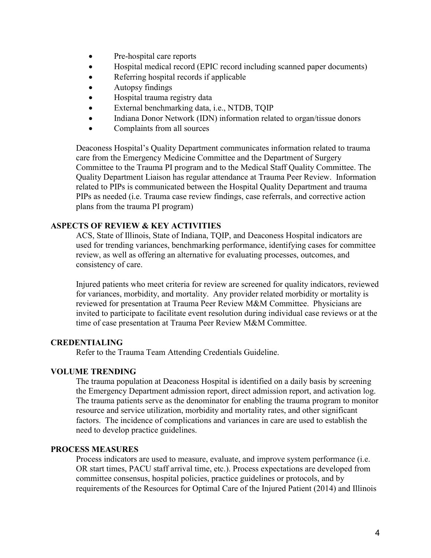- Pre-hospital care reports
- Hospital medical record (EPIC record including scanned paper documents)
- Referring hospital records if applicable
- Autopsy findings
- Hospital trauma registry data
- External benchmarking data, i.e., NTDB, TQIP
- Indiana Donor Network (IDN) information related to organ/tissue donors
- Complaints from all sources

Deaconess Hospital's Quality Department communicates information related to trauma care from the Emergency Medicine Committee and the Department of Surgery Committee to the Trauma PI program and to the Medical Staff Quality Committee. The Quality Department Liaison has regular attendance at Trauma Peer Review. Information related to PIPs is communicated between the Hospital Quality Department and trauma PIPs as needed (i.e. Trauma case review findings, case referrals, and corrective action plans from the trauma PI program)

# ASPECTS OF REVIEW & KEY ACTIVITIES

ACS, State of Illinois, State of Indiana, TQIP, and Deaconess Hospital indicators are used for trending variances, benchmarking performance, identifying cases for committee review, as well as offering an alternative for evaluating processes, outcomes, and consistency of care.

Injured patients who meet criteria for review are screened for quality indicators, reviewed for variances, morbidity, and mortality. Any provider related morbidity or mortality is reviewed for presentation at Trauma Peer Review M&M Committee. Physicians are invited to participate to facilitate event resolution during individual case reviews or at the time of case presentation at Trauma Peer Review M&M Committee.

## CREDENTIALING

Refer to the Trauma Team Attending Credentials Guideline.

## VOLUME TRENDING

The trauma population at Deaconess Hospital is identified on a daily basis by screening the Emergency Department admission report, direct admission report, and activation log. The trauma patients serve as the denominator for enabling the trauma program to monitor resource and service utilization, morbidity and mortality rates, and other significant factors. The incidence of complications and variances in care are used to establish the need to develop practice guidelines.

## PROCESS MEASURES

Process indicators are used to measure, evaluate, and improve system performance (i.e. OR start times, PACU staff arrival time, etc.). Process expectations are developed from committee consensus, hospital policies, practice guidelines or protocols, and by requirements of the Resources for Optimal Care of the Injured Patient (2014) and Illinois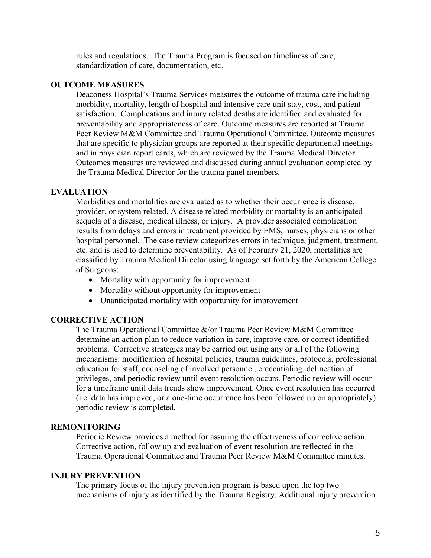rules and regulations. The Trauma Program is focused on timeliness of care, standardization of care, documentation, etc.

### OUTCOME MEASURES

Deaconess Hospital's Trauma Services measures the outcome of trauma care including morbidity, mortality, length of hospital and intensive care unit stay, cost, and patient satisfaction. Complications and injury related deaths are identified and evaluated for preventability and appropriateness of care. Outcome measures are reported at Trauma Peer Review M&M Committee and Trauma Operational Committee. Outcome measures that are specific to physician groups are reported at their specific departmental meetings and in physician report cards, which are reviewed by the Trauma Medical Director. Outcomes measures are reviewed and discussed during annual evaluation completed by the Trauma Medical Director for the trauma panel members.

### **EVALUATION**

Morbidities and mortalities are evaluated as to whether their occurrence is disease, provider, or system related. A disease related morbidity or mortality is an anticipated sequela of a disease, medical illness, or injury. A provider associated complication results from delays and errors in treatment provided by EMS, nurses, physicians or other hospital personnel. The case review categorizes errors in technique, judgment, treatment, etc. and is used to determine preventability. As of February 21, 2020, mortalities are classified by Trauma Medical Director using language set forth by the American College of Surgeons:

- Mortality with opportunity for improvement
- Mortality without opportunity for improvement
- Unanticipated mortality with opportunity for improvement

### CORRECTIVE ACTION

The Trauma Operational Committee &/or Trauma Peer Review M&M Committee determine an action plan to reduce variation in care, improve care, or correct identified problems. Corrective strategies may be carried out using any or all of the following mechanisms: modification of hospital policies, trauma guidelines, protocols, professional education for staff, counseling of involved personnel, credentialing, delineation of privileges, and periodic review until event resolution occurs. Periodic review will occur for a timeframe until data trends show improvement. Once event resolution has occurred (i.e. data has improved, or a one-time occurrence has been followed up on appropriately) periodic review is completed.

#### REMONITORING

Periodic Review provides a method for assuring the effectiveness of corrective action. Corrective action, follow up and evaluation of event resolution are reflected in the Trauma Operational Committee and Trauma Peer Review M&M Committee minutes.

### INJURY PREVENTION

The primary focus of the injury prevention program is based upon the top two mechanisms of injury as identified by the Trauma Registry. Additional injury prevention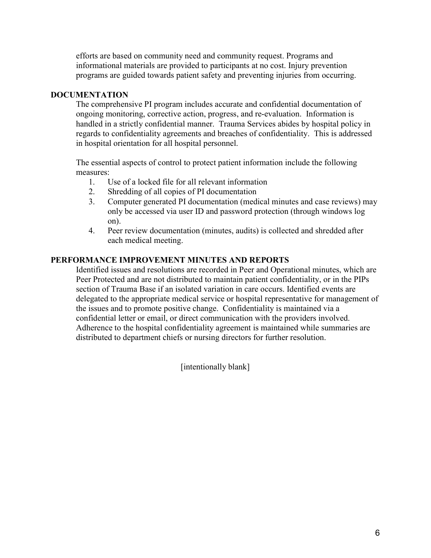efforts are based on community need and community request. Programs and informational materials are provided to participants at no cost. Injury prevention programs are guided towards patient safety and preventing injuries from occurring.

## **DOCUMENTATION**

The comprehensive PI program includes accurate and confidential documentation of ongoing monitoring, corrective action, progress, and re-evaluation. Information is handled in a strictly confidential manner. Trauma Services abides by hospital policy in regards to confidentiality agreements and breaches of confidentiality. This is addressed in hospital orientation for all hospital personnel.

The essential aspects of control to protect patient information include the following measures:

- 1. Use of a locked file for all relevant information
- 2. Shredding of all copies of PI documentation
- 3. Computer generated PI documentation (medical minutes and case reviews) may only be accessed via user ID and password protection (through windows log on).
- 4. Peer review documentation (minutes, audits) is collected and shredded after each medical meeting.

## PERFORMANCE IMPROVEMENT MINUTES AND REPORTS

Identified issues and resolutions are recorded in Peer and Operational minutes, which are Peer Protected and are not distributed to maintain patient confidentiality, or in the PIPs section of Trauma Base if an isolated variation in care occurs. Identified events are delegated to the appropriate medical service or hospital representative for management of the issues and to promote positive change. Confidentiality is maintained via a confidential letter or email, or direct communication with the providers involved. Adherence to the hospital confidentiality agreement is maintained while summaries are distributed to department chiefs or nursing directors for further resolution.

[intentionally blank]